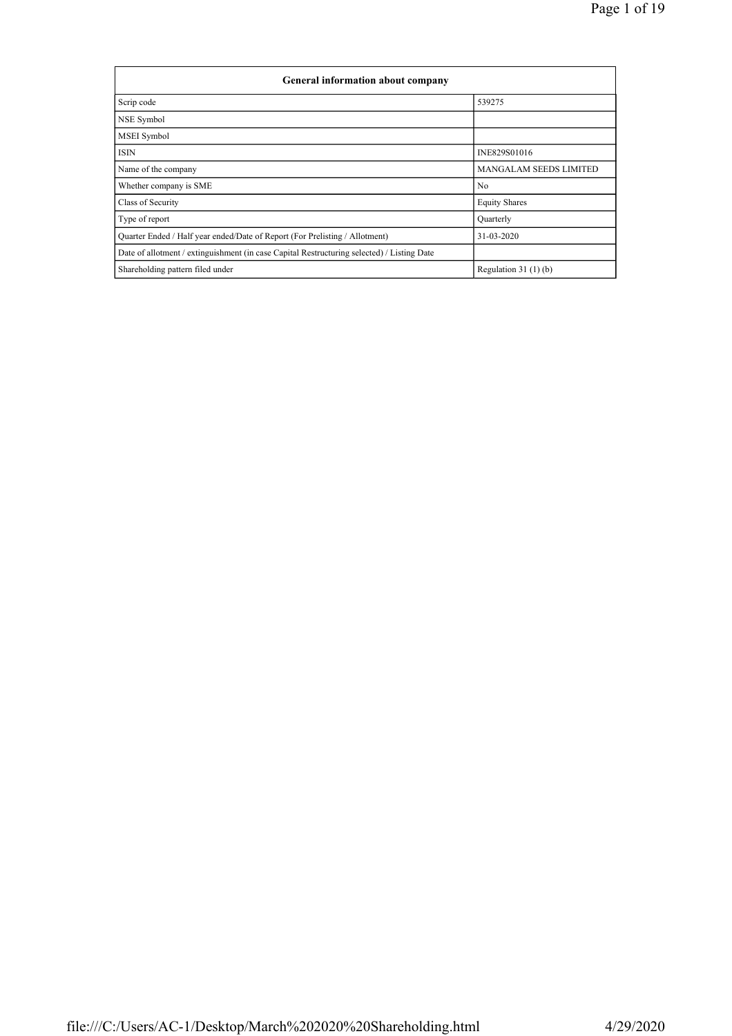| General information about company                                                          |                               |
|--------------------------------------------------------------------------------------------|-------------------------------|
| Scrip code                                                                                 | 539275                        |
| NSE Symbol                                                                                 |                               |
| MSEI Symbol                                                                                |                               |
| <b>ISIN</b>                                                                                | INE829S01016                  |
| Name of the company                                                                        | <b>MANGALAM SEEDS LIMITED</b> |
| Whether company is SME                                                                     | N <sub>0</sub>                |
| Class of Security                                                                          | <b>Equity Shares</b>          |
| Type of report                                                                             | Ouarterly                     |
| Quarter Ended / Half year ended/Date of Report (For Prelisting / Allotment)                | 31-03-2020                    |
| Date of allotment / extinguishment (in case Capital Restructuring selected) / Listing Date |                               |
| Shareholding pattern filed under                                                           | Regulation $31(1)(b)$         |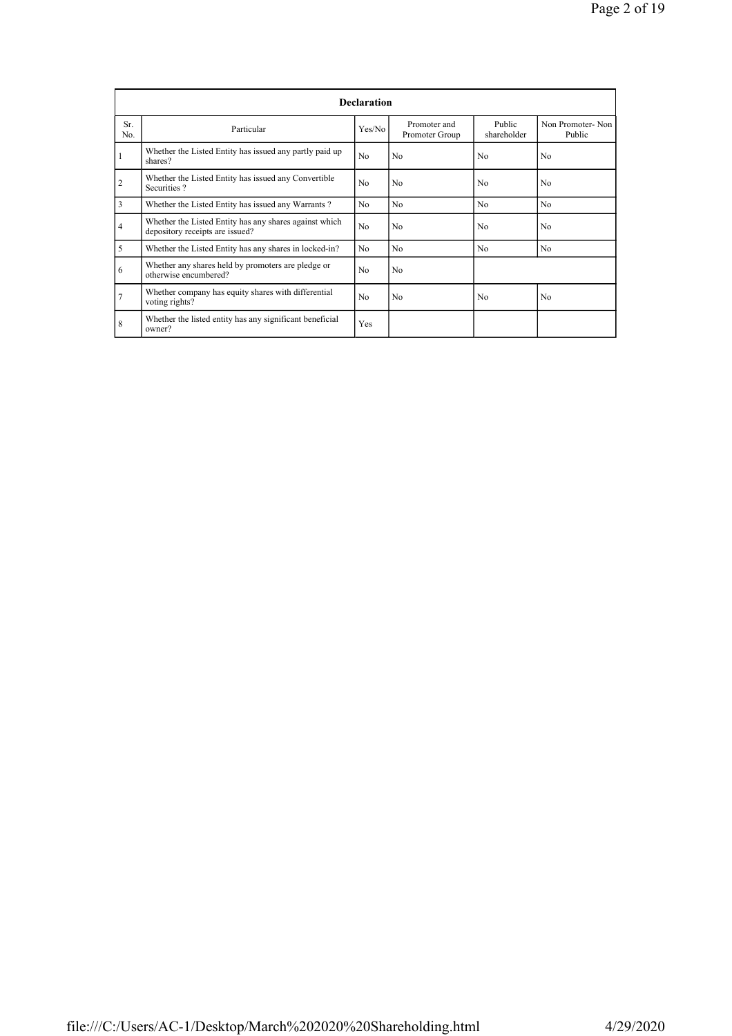|                |                                                                                           | <b>Declaration</b> |                                |                       |                            |
|----------------|-------------------------------------------------------------------------------------------|--------------------|--------------------------------|-----------------------|----------------------------|
| Sr.<br>No.     | Particular                                                                                | Yes/No             | Promoter and<br>Promoter Group | Public<br>shareholder | Non Promoter-Non<br>Public |
|                | Whether the Listed Entity has issued any partly paid up<br>shares?                        | N <sub>0</sub>     | N <sub>0</sub>                 | No                    | No                         |
| $\overline{2}$ | Whether the Listed Entity has issued any Convertible<br>Securities?                       | No                 | N <sub>0</sub>                 | No                    | N <sub>0</sub>             |
| 3              | Whether the Listed Entity has issued any Warrants?                                        | N <sub>0</sub>     | N <sub>0</sub>                 | N <sub>0</sub>        | N <sub>0</sub>             |
| $\overline{4}$ | Whether the Listed Entity has any shares against which<br>depository receipts are issued? | No                 | N <sub>0</sub>                 | No                    | N <sub>0</sub>             |
| 5              | Whether the Listed Entity has any shares in locked-in?                                    | N <sub>0</sub>     | N <sub>0</sub>                 | No                    | N <sub>0</sub>             |
| 6              | Whether any shares held by promoters are pledge or<br>otherwise encumbered?               | No                 | N <sub>0</sub>                 |                       |                            |
| $\overline{7}$ | Whether company has equity shares with differential<br>voting rights?                     | N <sub>0</sub>     | N <sub>0</sub>                 | No                    | N <sub>0</sub>             |
| 8              | Whether the listed entity has any significant beneficial<br>owner?                        | Yes                |                                |                       |                            |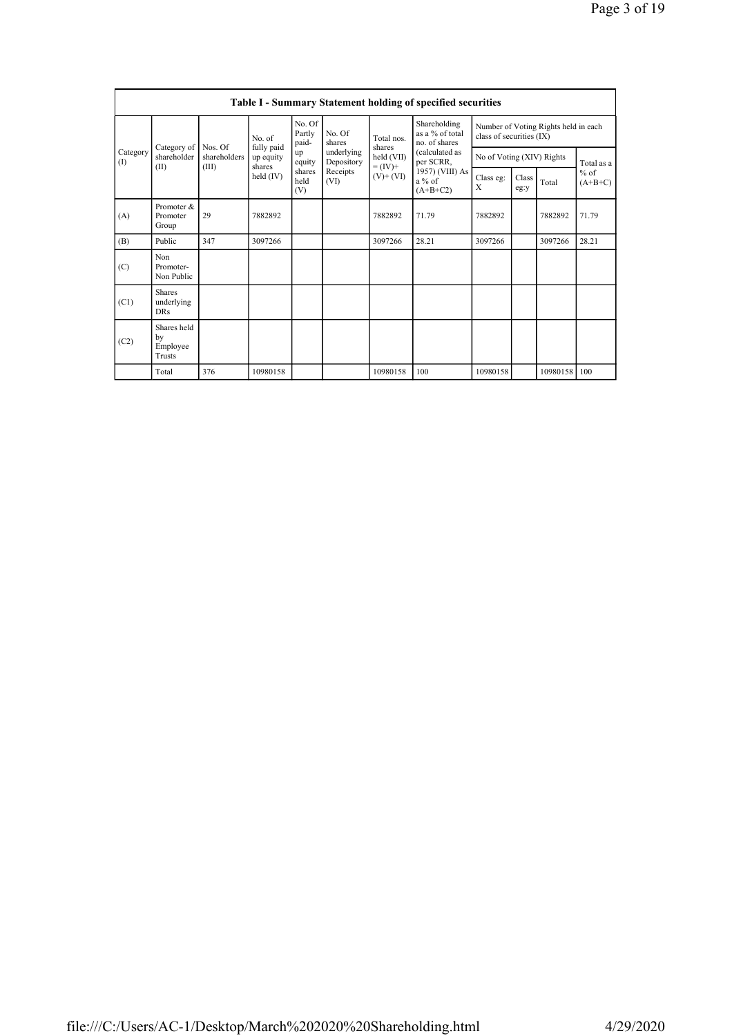|                 |                                         |                         |                                   |                           |                          |                              | <b>Table I - Summary Statement holding of specified securities</b> |                          |                           |                                      |                     |
|-----------------|-----------------------------------------|-------------------------|-----------------------------------|---------------------------|--------------------------|------------------------------|--------------------------------------------------------------------|--------------------------|---------------------------|--------------------------------------|---------------------|
|                 | No. of                                  |                         |                                   | No. Of<br>Partly<br>paid- | No. Of<br>shares         | Total nos<br>shares          | Shareholding<br>as a % of total<br>no. of shares                   | class of securities (IX) |                           | Number of Voting Rights held in each |                     |
| Category<br>(I) | Category of<br>shareholder              | Nos. Of<br>shareholders | fully paid<br>up equity<br>shares | up<br>equity              | underlying<br>Depository | held (VII)                   | (calculated as<br>per SCRR,                                        |                          | No of Voting (XIV) Rights |                                      | Total as a          |
|                 | (II)                                    | (III)                   | held (IV)                         | shares<br>held<br>(V)     | Receipts<br>(VI)         | $= (IV) +$<br>$(V)$ + $(VI)$ | 1957) (VIII) As<br>$a\%$ of<br>$(A+B+C2)$                          | Class eg:<br>X           | Class<br>eg:y             | Total                                | $%$ of<br>$(A+B+C)$ |
| (A)             | Promoter &<br>Promoter<br>Group         | 29                      | 7882892                           |                           |                          | 7882892                      | 71.79                                                              | 7882892                  |                           | 7882892                              | 71.79               |
| (B)             | Public                                  | 347                     | 3097266                           |                           |                          | 3097266                      | 28.21                                                              | 3097266                  |                           | 3097266                              | 28.21               |
| (C)             | Non<br>Promoter-<br>Non Public          |                         |                                   |                           |                          |                              |                                                                    |                          |                           |                                      |                     |
| (C1)            | <b>Shares</b><br>underlying<br>DRs      |                         |                                   |                           |                          |                              |                                                                    |                          |                           |                                      |                     |
| (C2)            | Shares held<br>by<br>Employee<br>Trusts |                         |                                   |                           |                          |                              |                                                                    |                          |                           |                                      |                     |
|                 | Total                                   | 376                     | 10980158                          |                           |                          | 10980158                     | 100                                                                | 10980158                 |                           | 10980158                             | l 100               |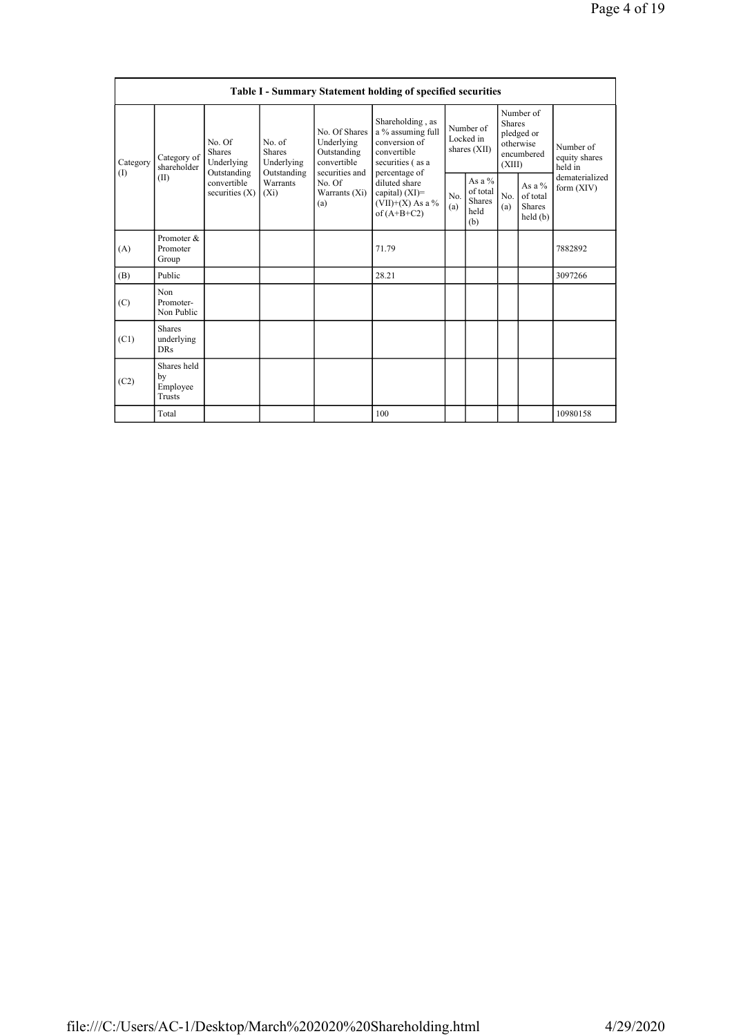|                 |                                           |                                                      |                                                      |                                                                             | Table I - Summary Statement holding of specified securities                                                |                                          |                                               |                                                                               |                                           |                                       |
|-----------------|-------------------------------------------|------------------------------------------------------|------------------------------------------------------|-----------------------------------------------------------------------------|------------------------------------------------------------------------------------------------------------|------------------------------------------|-----------------------------------------------|-------------------------------------------------------------------------------|-------------------------------------------|---------------------------------------|
| Category<br>(1) | Category of<br>shareholder                | No. Of<br><b>Shares</b><br>Underlying<br>Outstanding | No. of<br><b>Shares</b><br>Underlying<br>Outstanding | No. Of Shares<br>Underlying<br>Outstanding<br>convertible<br>securities and | Shareholding, as<br>a % assuming full<br>conversion of<br>convertible<br>securities (as a<br>percentage of | Number of<br>Locked in<br>shares $(XII)$ |                                               | Number of<br><b>Shares</b><br>pledged or<br>otherwise<br>encumbered<br>(XIII) |                                           | Number of<br>equity shares<br>held in |
|                 | (II)                                      | convertible<br>securities $(X)$                      | Warrants<br>$(X_i)$                                  | No. Of<br>Warrants (Xi)<br>(a)                                              | diluted share<br>capital) $(XI)=$<br>$(VII)+(X)$ As a %<br>of $(A+B+C2)$                                   | No.<br>(a)                               | As a $%$<br>of total<br>Shares<br>held<br>(b) | No.<br>(a)                                                                    | As a $%$<br>of total<br>Shares<br>held(b) | dematerialized<br>form $(XIV)$        |
| (A)             | Promoter &<br>Promoter<br>Group           |                                                      |                                                      |                                                                             | 71.79                                                                                                      |                                          |                                               |                                                                               |                                           | 7882892                               |
| (B)             | Public                                    |                                                      |                                                      |                                                                             | 28.21                                                                                                      |                                          |                                               |                                                                               |                                           | 3097266                               |
| (C)             | Non<br>Promoter-<br>Non Public            |                                                      |                                                      |                                                                             |                                                                                                            |                                          |                                               |                                                                               |                                           |                                       |
| (C1)            | <b>Shares</b><br>underlying<br><b>DRs</b> |                                                      |                                                      |                                                                             |                                                                                                            |                                          |                                               |                                                                               |                                           |                                       |
| (C2)            | Shares held<br>by<br>Employee<br>Trusts   |                                                      |                                                      |                                                                             |                                                                                                            |                                          |                                               |                                                                               |                                           |                                       |
|                 | Total                                     |                                                      |                                                      |                                                                             | 100                                                                                                        |                                          |                                               |                                                                               |                                           | 10980158                              |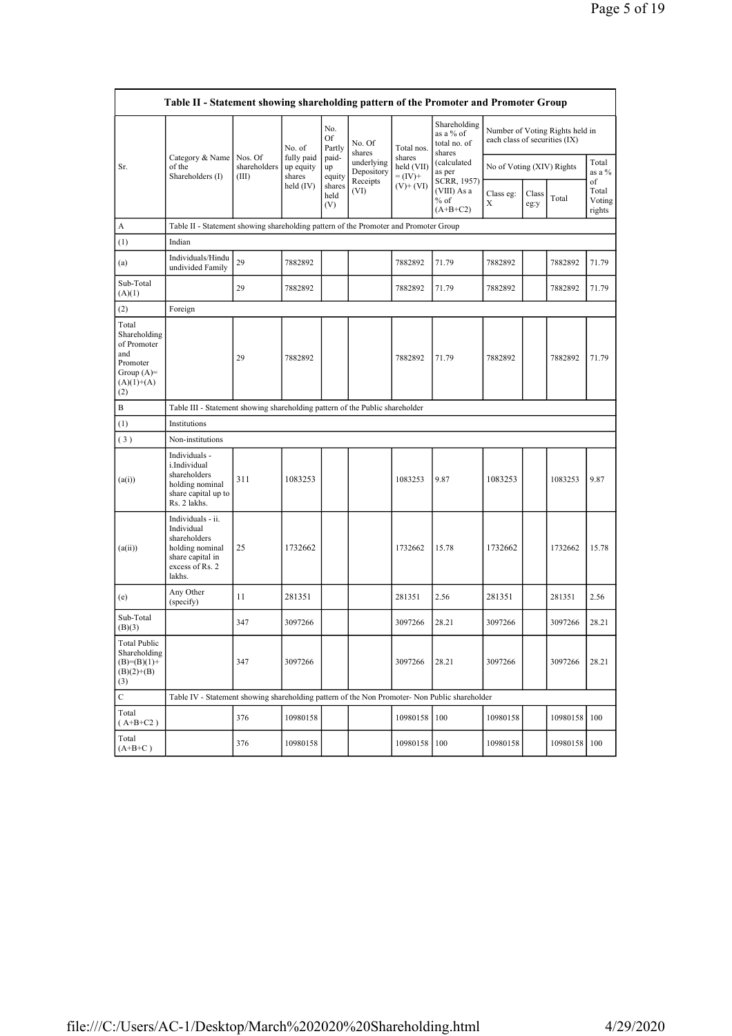|                                                                                                | Table II - Statement showing shareholding pattern of the Promoter and Promoter Group                                |                                  |                                   |                       |                          |                                    |                                                     |                                                                  |               |          |                                 |
|------------------------------------------------------------------------------------------------|---------------------------------------------------------------------------------------------------------------------|----------------------------------|-----------------------------------|-----------------------|--------------------------|------------------------------------|-----------------------------------------------------|------------------------------------------------------------------|---------------|----------|---------------------------------|
|                                                                                                |                                                                                                                     |                                  | No. of                            | No.<br>Of<br>Partly   | No. Of<br>shares         | Total nos.                         | Shareholding<br>as a % of<br>total no. of<br>shares | Number of Voting Rights held in<br>each class of securities (IX) |               |          |                                 |
| Sr.                                                                                            | Category & Name<br>of the<br>Shareholders (I)                                                                       | Nos. Of<br>shareholders<br>(III) | fully paid<br>up equity<br>shares | paid-<br>up<br>equity | underlying<br>Depository | shares<br>held (VII)<br>$= (IV) +$ | (calculated<br>as per                               | No of Voting (XIV) Rights                                        |               |          | Total<br>as a %                 |
|                                                                                                |                                                                                                                     |                                  | held $(IV)$                       | shares<br>held<br>(V) | Receipts<br>(VI)         | $(V)+(VI)$                         | SCRR, 1957)<br>(VIII) As a<br>$%$ of<br>$(A+B+C2)$  | Class eg:<br>X                                                   | Class<br>eg:y | Total    | of<br>Total<br>Voting<br>rights |
| A                                                                                              | Table II - Statement showing shareholding pattern of the Promoter and Promoter Group                                |                                  |                                   |                       |                          |                                    |                                                     |                                                                  |               |          |                                 |
| (1)                                                                                            | Indian                                                                                                              |                                  |                                   |                       |                          |                                    |                                                     |                                                                  |               |          |                                 |
| (a)                                                                                            | Individuals/Hindu<br>undivided Family                                                                               | 29                               | 7882892                           |                       |                          | 7882892                            | 71.79                                               | 7882892                                                          |               | 7882892  | 71.79                           |
| Sub-Total<br>(A)(1)                                                                            |                                                                                                                     | 29                               | 7882892                           |                       |                          | 7882892                            | 71.79                                               | 7882892                                                          |               | 7882892  | 71.79                           |
| (2)                                                                                            | Foreign                                                                                                             |                                  |                                   |                       |                          |                                    |                                                     |                                                                  |               |          |                                 |
| Total<br>Shareholding<br>of Promoter<br>and<br>Promoter<br>Group $(A)=$<br>$(A)(1)+(A)$<br>(2) |                                                                                                                     | 29                               | 7882892                           |                       |                          | 7882892                            | 71.79                                               | 7882892                                                          |               | 7882892  | 71.79                           |
| Β                                                                                              | Table III - Statement showing shareholding pattern of the Public shareholder                                        |                                  |                                   |                       |                          |                                    |                                                     |                                                                  |               |          |                                 |
| $\left(1\right)$                                                                               | Institutions                                                                                                        |                                  |                                   |                       |                          |                                    |                                                     |                                                                  |               |          |                                 |
| (3)                                                                                            | Non-institutions                                                                                                    |                                  |                                   |                       |                          |                                    |                                                     |                                                                  |               |          |                                 |
| (a(i))                                                                                         | Individuals -<br>i.Individual<br>shareholders<br>holding nominal<br>share capital up to<br>Rs. 2 lakhs.             | 311                              | 1083253                           |                       |                          | 1083253                            | 9.87                                                | 1083253                                                          |               | 1083253  | 9.87                            |
| (a(ii))                                                                                        | Individuals - ii.<br>Individual<br>shareholders<br>holding nominal<br>share capital in<br>excess of Rs. 2<br>lakhs. | 25                               | 1732662                           |                       |                          | 1732662                            | 15.78                                               | 1732662                                                          |               | 1732662  | 15.78                           |
| (e)                                                                                            | Any Other<br>(specify)                                                                                              | 11                               | 281351                            |                       |                          | 281351                             | 2.56                                                | 281351                                                           |               | 281351   | 2.56                            |
| Sub-Total<br>(B)(3)                                                                            |                                                                                                                     | 347                              | 3097266                           |                       |                          | 3097266                            | 28.21                                               | 3097266                                                          |               | 3097266  | 28.21                           |
| <b>Total Public</b><br>Shareholding<br>$(B)=(B)(1)+$<br>$(B)(2)+(B)$<br>(3)                    |                                                                                                                     | 347                              | 3097266                           |                       |                          | 3097266                            | 28.21                                               | 3097266                                                          |               | 3097266  | 28.21                           |
| $\mathbf C$                                                                                    | Table IV - Statement showing shareholding pattern of the Non Promoter- Non Public shareholder                       |                                  |                                   |                       |                          |                                    |                                                     |                                                                  |               |          |                                 |
| Total<br>$(A+B+C2)$                                                                            |                                                                                                                     | 376                              | 10980158                          |                       |                          | 10980158                           | 100                                                 | 10980158                                                         |               | 10980158 | 100                             |
| Total<br>$(A+B+C)$                                                                             |                                                                                                                     | 376                              | 10980158                          |                       |                          | 10980158                           | 100                                                 | 10980158                                                         |               | 10980158 | 100                             |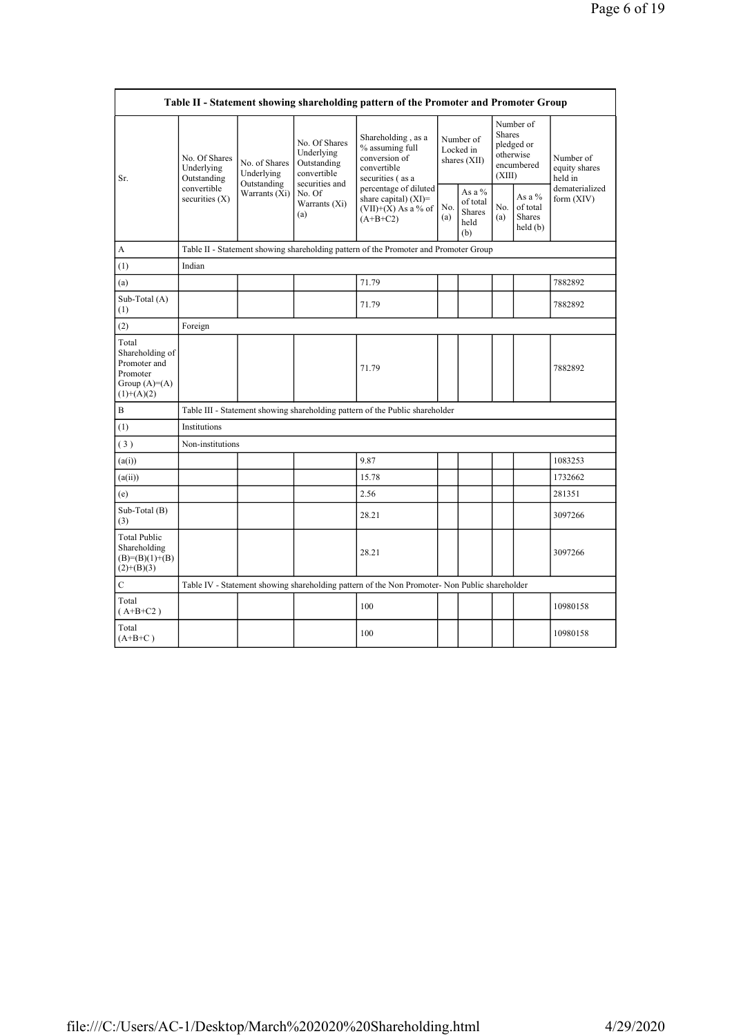|                                                                                        |                                                                                               |                                            |                                                                             | Table II - Statement showing shareholding pattern of the Promoter and Promoter Group      |            |                                                                                                                         |            |                                           |                                       |  |
|----------------------------------------------------------------------------------------|-----------------------------------------------------------------------------------------------|--------------------------------------------|-----------------------------------------------------------------------------|-------------------------------------------------------------------------------------------|------------|-------------------------------------------------------------------------------------------------------------------------|------------|-------------------------------------------|---------------------------------------|--|
| Sr.                                                                                    | No. Of Shares<br>Underlying<br>Outstanding                                                    | No. of Shares<br>Underlying<br>Outstanding | No. Of Shares<br>Underlying<br>Outstanding<br>convertible<br>securities and | Shareholding, as a<br>% assuming full<br>conversion of<br>convertible<br>securities (as a |            | Number of<br><b>Shares</b><br>Number of<br>pledged or<br>Locked in<br>otherwise<br>shares (XII)<br>encumbered<br>(XIII) |            |                                           | Number of<br>equity shares<br>held in |  |
|                                                                                        | convertible<br>securities $(X)$                                                               | Warrants (Xi)                              | No. Of<br>Warrants (Xi)<br>(a)                                              | percentage of diluted<br>share capital) (XI)=<br>$(VII)+(X)$ As a % of<br>$(A+B+C2)$      | No.<br>(a) | As a %<br>of total<br>Shares<br>held<br>(b)                                                                             | No.<br>(a) | As a $%$<br>of total<br>Shares<br>held(b) | dematerialized<br>form $(XIV)$        |  |
| A                                                                                      |                                                                                               |                                            |                                                                             | Table II - Statement showing shareholding pattern of the Promoter and Promoter Group      |            |                                                                                                                         |            |                                           |                                       |  |
| (1)                                                                                    | Indian                                                                                        |                                            |                                                                             |                                                                                           |            |                                                                                                                         |            |                                           |                                       |  |
| (a)                                                                                    |                                                                                               |                                            |                                                                             | 71.79                                                                                     |            |                                                                                                                         |            |                                           | 7882892                               |  |
| Sub-Total (A)<br>(1)                                                                   |                                                                                               |                                            |                                                                             | 71.79                                                                                     |            |                                                                                                                         |            |                                           | 7882892                               |  |
| (2)                                                                                    | Foreign                                                                                       |                                            |                                                                             |                                                                                           |            |                                                                                                                         |            |                                           |                                       |  |
| Total<br>Shareholding of<br>Promoter and<br>Promoter<br>Group $(A)=A)$<br>$(1)+(A)(2)$ |                                                                                               |                                            |                                                                             | 71.79                                                                                     |            |                                                                                                                         |            |                                           | 7882892                               |  |
| B                                                                                      |                                                                                               |                                            |                                                                             | Table III - Statement showing shareholding pattern of the Public shareholder              |            |                                                                                                                         |            |                                           |                                       |  |
| (1)                                                                                    | Institutions                                                                                  |                                            |                                                                             |                                                                                           |            |                                                                                                                         |            |                                           |                                       |  |
| (3)                                                                                    | Non-institutions                                                                              |                                            |                                                                             |                                                                                           |            |                                                                                                                         |            |                                           |                                       |  |
| (a(i))                                                                                 |                                                                                               |                                            |                                                                             | 9.87                                                                                      |            |                                                                                                                         |            |                                           | 1083253                               |  |
| (a(ii))                                                                                |                                                                                               |                                            |                                                                             | 15.78                                                                                     |            |                                                                                                                         |            |                                           | 1732662                               |  |
| (e)                                                                                    |                                                                                               |                                            |                                                                             | 2.56                                                                                      |            |                                                                                                                         |            |                                           | 281351                                |  |
| Sub-Total (B)<br>(3)                                                                   |                                                                                               |                                            |                                                                             | 28.21                                                                                     |            |                                                                                                                         |            |                                           | 3097266                               |  |
| <b>Total Public</b><br>Shareholding<br>$(B)= (B)(1)+(B)$<br>$(2)+(B)(3)$               |                                                                                               |                                            |                                                                             | 28.21                                                                                     |            |                                                                                                                         |            |                                           | 3097266                               |  |
| C                                                                                      | Table IV - Statement showing shareholding pattern of the Non Promoter- Non Public shareholder |                                            |                                                                             |                                                                                           |            |                                                                                                                         |            |                                           |                                       |  |
| Total<br>$(A+B+C2)$                                                                    |                                                                                               |                                            |                                                                             | 100                                                                                       |            |                                                                                                                         |            |                                           | 10980158                              |  |
| Total<br>$(A+B+C)$                                                                     |                                                                                               |                                            |                                                                             | 100                                                                                       |            |                                                                                                                         |            |                                           | 10980158                              |  |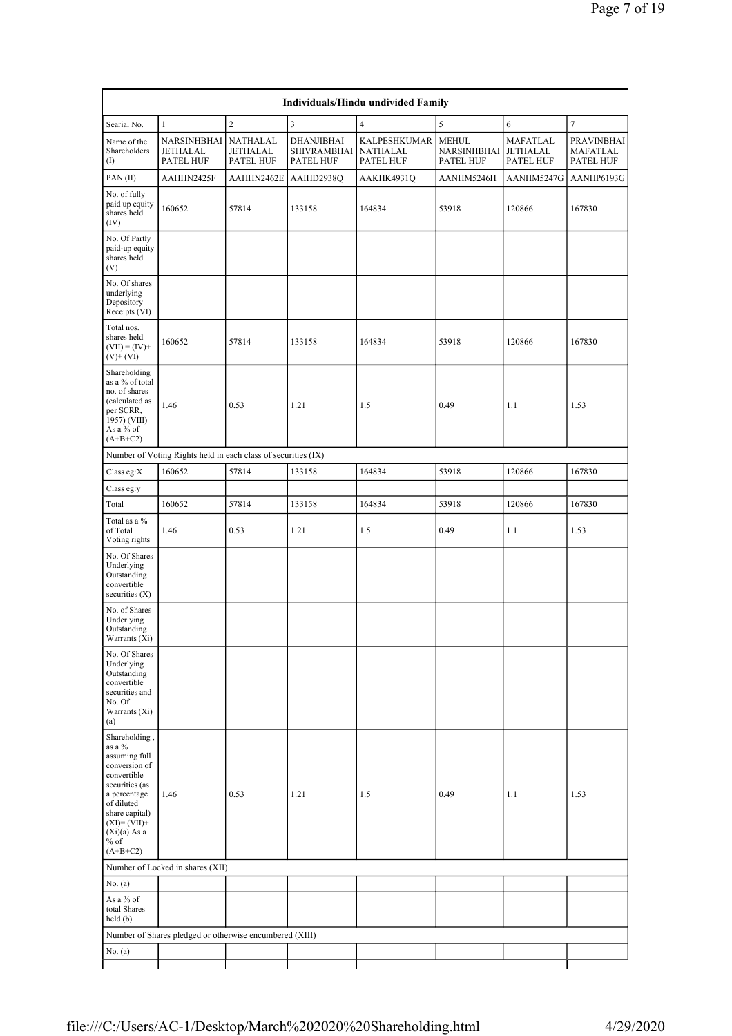| Individuals/Hindu undivided Family                                                                                                                                                                    |                                                               |                                   |                                               |                                              |                                          |                                   |                                     |  |  |  |  |
|-------------------------------------------------------------------------------------------------------------------------------------------------------------------------------------------------------|---------------------------------------------------------------|-----------------------------------|-----------------------------------------------|----------------------------------------------|------------------------------------------|-----------------------------------|-------------------------------------|--|--|--|--|
| Searial No.                                                                                                                                                                                           | $\mathbf{1}$                                                  | $\overline{c}$                    | 3                                             | $\overline{4}$                               | 5                                        | 6                                 | $\overline{7}$                      |  |  |  |  |
| Name of the<br>Shareholders<br>(1)                                                                                                                                                                    | NARSINHBHAI<br><b>JETHALAL</b><br>PATEL HUF                   | NATHALAL<br>JETHALAL<br>PATEL HUF | DHANJIBHAI<br><b>SHIVRAMBHAI</b><br>PATEL HUF | KALPESHKUMAR<br><b>NATHALAL</b><br>PATEL HUF | <b>MEHUL</b><br>NARSINHBHAI<br>PATEL HUF | MAFATLAL<br>JETHALAL<br>PATEL HUF | PRAVINBHAI<br>MAFATLAL<br>PATEL HUF |  |  |  |  |
| PAN(II)                                                                                                                                                                                               | AAHHN2425F                                                    | AAHHN2462E                        | AAIHD2938Q                                    | AAKHK4931Q                                   | AANHM5246H                               | AANHM5247G                        | AANHP6193G                          |  |  |  |  |
| No. of fully<br>paid up equity<br>shares held<br>(IV)                                                                                                                                                 | 160652                                                        | 57814                             | 133158                                        | 164834                                       | 53918                                    | 120866                            | 167830                              |  |  |  |  |
| No. Of Partly<br>paid-up equity<br>shares held<br>(V)                                                                                                                                                 |                                                               |                                   |                                               |                                              |                                          |                                   |                                     |  |  |  |  |
| No. Of shares<br>underlying<br>Depository<br>Receipts (VI)                                                                                                                                            |                                                               |                                   |                                               |                                              |                                          |                                   |                                     |  |  |  |  |
| Total nos.<br>shares held<br>$(VII) = (IV) +$<br>$(V)+(VI)$                                                                                                                                           | 160652                                                        | 57814                             | 133158                                        | 164834                                       | 53918                                    | 120866                            | 167830                              |  |  |  |  |
| Shareholding<br>as a % of total<br>no. of shares<br>(calculated as<br>per SCRR,<br>1957) (VIII)<br>As a % of<br>$(A+B+C2)$                                                                            | 1.46                                                          | 0.53                              | 1.21                                          | 1.5                                          | 0.49                                     | 1.1                               | 1.53                                |  |  |  |  |
|                                                                                                                                                                                                       | Number of Voting Rights held in each class of securities (IX) |                                   |                                               |                                              |                                          |                                   |                                     |  |  |  |  |
| Class eg: $X$                                                                                                                                                                                         | 160652                                                        | 57814                             | 133158                                        | 164834                                       | 53918                                    | 120866                            | 167830                              |  |  |  |  |
| Class eg:y                                                                                                                                                                                            |                                                               |                                   |                                               |                                              |                                          |                                   |                                     |  |  |  |  |
| Total                                                                                                                                                                                                 | 160652                                                        | 57814                             | 133158                                        | 164834                                       | 53918                                    | 120866                            | 167830                              |  |  |  |  |
| Total as a %<br>of Total<br>Voting rights                                                                                                                                                             | 1.46                                                          | 0.53                              | 1.21                                          | 1.5                                          | 0.49                                     | 1.1                               | 1.53                                |  |  |  |  |
| No. Of Shares<br>Underlying<br>Outstanding<br>convertible<br>securities $(X)$                                                                                                                         |                                                               |                                   |                                               |                                              |                                          |                                   |                                     |  |  |  |  |
| No. of Shares<br>Underlying<br>Outstanding<br>Warrants (Xi)                                                                                                                                           |                                                               |                                   |                                               |                                              |                                          |                                   |                                     |  |  |  |  |
| No. Of Shares<br>Underlying<br>Outstanding<br>convertible<br>securities and<br>No. Of<br>Warrants (Xi)<br>(a)                                                                                         |                                                               |                                   |                                               |                                              |                                          |                                   |                                     |  |  |  |  |
| Shareholding,<br>as a %<br>assuming full<br>conversion of<br>convertible<br>securities (as<br>a percentage<br>of diluted<br>share capital)<br>$(XI)=(VII)+$<br>$(Xi)(a)$ As a<br>$%$ of<br>$(A+B+C2)$ | 1.46                                                          | 0.53                              | 1.21                                          | 1.5                                          | 0.49                                     | 1.1                               | 1.53                                |  |  |  |  |
|                                                                                                                                                                                                       | Number of Locked in shares (XII)                              |                                   |                                               |                                              |                                          |                                   |                                     |  |  |  |  |
| No. $(a)$                                                                                                                                                                                             |                                                               |                                   |                                               |                                              |                                          |                                   |                                     |  |  |  |  |
| As a % of<br>total Shares<br>held(b)                                                                                                                                                                  |                                                               |                                   |                                               |                                              |                                          |                                   |                                     |  |  |  |  |
|                                                                                                                                                                                                       | Number of Shares pledged or otherwise encumbered (XIII)       |                                   |                                               |                                              |                                          |                                   |                                     |  |  |  |  |
| No. (a)                                                                                                                                                                                               |                                                               |                                   |                                               |                                              |                                          |                                   |                                     |  |  |  |  |
|                                                                                                                                                                                                       |                                                               |                                   |                                               |                                              |                                          |                                   |                                     |  |  |  |  |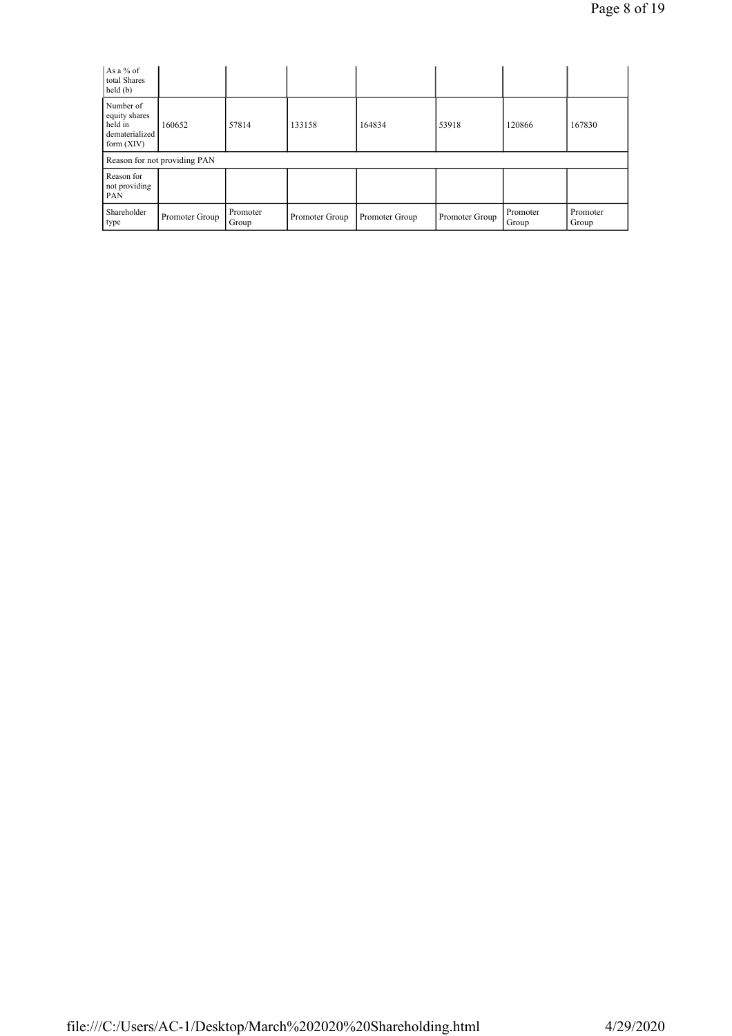| As a % of<br>total Shares<br>held(b)                                    |                              |                   |                |                |                |                   |                   |
|-------------------------------------------------------------------------|------------------------------|-------------------|----------------|----------------|----------------|-------------------|-------------------|
| Number of<br>equity shares<br>held in<br>dematerialized<br>form $(XIV)$ | 160652                       | 57814             | 133158         | 164834         | 53918          | 120866            | 167830            |
|                                                                         | Reason for not providing PAN |                   |                |                |                |                   |                   |
| Reason for<br>not providing<br>PAN                                      |                              |                   |                |                |                |                   |                   |
| Shareholder<br>type                                                     | Promoter Group               | Promoter<br>Group | Promoter Group | Promoter Group | Promoter Group | Promoter<br>Group | Promoter<br>Group |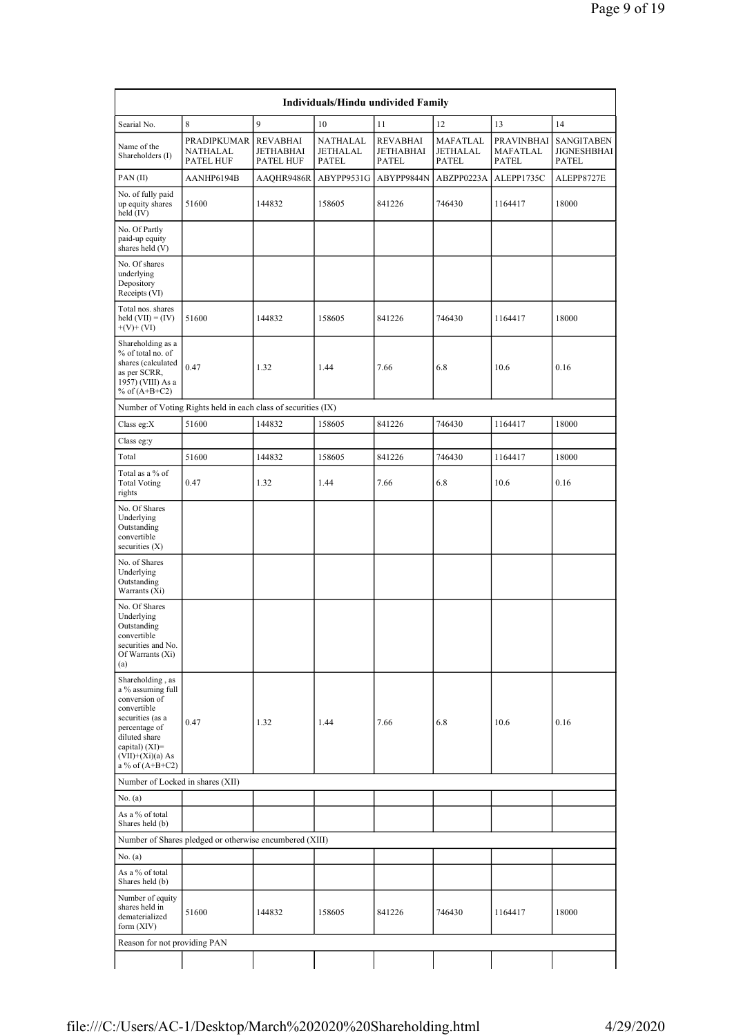| Individuals/Hindu undivided Family                                                                                                                                                          |                                                               |                                                         |                                      |                                              |                               |                                               |                                           |  |  |  |  |
|---------------------------------------------------------------------------------------------------------------------------------------------------------------------------------------------|---------------------------------------------------------------|---------------------------------------------------------|--------------------------------------|----------------------------------------------|-------------------------------|-----------------------------------------------|-------------------------------------------|--|--|--|--|
| Searial No.                                                                                                                                                                                 | 8                                                             | 9                                                       | 10                                   | 11                                           | 12                            | 13                                            | 14                                        |  |  |  |  |
| Name of the<br>Shareholders (I)                                                                                                                                                             | <b>PRADIPKUMAR</b><br>NATHALAL<br>PATEL HUF                   | <b>REVABHAI</b><br><b>JETHABHAI</b><br><b>PATEL HUF</b> | NATHALAL<br>JETHALAL<br><b>PATEL</b> | <b>REVABHAI</b><br>JETHABHAI<br><b>PATEL</b> | MAFATLAL<br>JETHALAL<br>PATEL | <b>PRAVINBHAI</b><br>MAFATLAL<br><b>PATEL</b> | <b>SANGITABEN</b><br>JIGNESHBHAI<br>PATEL |  |  |  |  |
| PAN(II)                                                                                                                                                                                     | AANHP6194B                                                    | AAQHR9486R                                              | ABYPP9531G                           | ABYPP9844N                                   | ABZPP0223A                    | ALEPP1735C                                    | ALEPP8727E                                |  |  |  |  |
| No. of fully paid<br>up equity shares<br>held $(IV)$                                                                                                                                        | 51600                                                         | 144832                                                  | 158605                               | 841226                                       | 746430                        | 1164417                                       | 18000                                     |  |  |  |  |
| No. Of Partly<br>paid-up equity<br>shares held (V)                                                                                                                                          |                                                               |                                                         |                                      |                                              |                               |                                               |                                           |  |  |  |  |
| No. Of shares<br>underlying<br>Depository<br>Receipts (VI)                                                                                                                                  |                                                               |                                                         |                                      |                                              |                               |                                               |                                           |  |  |  |  |
| Total nos. shares<br>held $(VII) = (IV)$<br>$+(V)+(VI)$                                                                                                                                     | 51600                                                         | 144832                                                  | 158605                               | 841226                                       | 746430                        | 1164417                                       | 18000                                     |  |  |  |  |
| Shareholding as a<br>% of total no. of<br>shares (calculated<br>as per SCRR,<br>1957) (VIII) As a<br>% of $(A+B+C2)$                                                                        | 0.47                                                          | 1.32                                                    | 1.44                                 | 7.66                                         | 6.8                           | 10.6                                          | 0.16                                      |  |  |  |  |
|                                                                                                                                                                                             | Number of Voting Rights held in each class of securities (IX) |                                                         |                                      |                                              |                               |                                               |                                           |  |  |  |  |
| Class eg: $X$                                                                                                                                                                               | 51600                                                         | 144832                                                  | 158605                               | 841226                                       | 746430                        | 1164417                                       | 18000                                     |  |  |  |  |
| Class eg:y                                                                                                                                                                                  |                                                               |                                                         |                                      |                                              |                               |                                               |                                           |  |  |  |  |
| Total                                                                                                                                                                                       | 51600                                                         | 144832                                                  | 158605                               | 841226                                       | 746430                        | 1164417                                       | 18000                                     |  |  |  |  |
| Total as a % of<br><b>Total Voting</b><br>rights                                                                                                                                            | 0.47                                                          | 1.32                                                    | 1.44                                 | 7.66                                         | 6.8                           | 10.6                                          | 0.16                                      |  |  |  |  |
| No. Of Shares<br>Underlying<br>Outstanding<br>convertible<br>securities $(X)$                                                                                                               |                                                               |                                                         |                                      |                                              |                               |                                               |                                           |  |  |  |  |
| No. of Shares<br>Underlying<br>Outstanding<br>Warrants (Xi)                                                                                                                                 |                                                               |                                                         |                                      |                                              |                               |                                               |                                           |  |  |  |  |
| No. Of Shares<br>Underlying<br>Outstanding<br>convertible<br>securities and No.<br>Of Warrants (Xi)<br>(a)                                                                                  |                                                               |                                                         |                                      |                                              |                               |                                               |                                           |  |  |  |  |
| Shareholding, as<br>a % assuming full<br>conversion of<br>convertible<br>securities (as a<br>percentage of<br>diluted share<br>capital) $(XI)$ =<br>$(VII)+(Xi)(a) As$<br>a % of $(A+B+C2)$ | 0.47                                                          | 1.32                                                    | 1.44                                 | 7.66                                         | 6.8                           | 10.6                                          | 0.16                                      |  |  |  |  |
| Number of Locked in shares (XII)                                                                                                                                                            |                                                               |                                                         |                                      |                                              |                               |                                               |                                           |  |  |  |  |
| No. $(a)$                                                                                                                                                                                   |                                                               |                                                         |                                      |                                              |                               |                                               |                                           |  |  |  |  |
| As a % of total<br>Shares held (b)                                                                                                                                                          |                                                               |                                                         |                                      |                                              |                               |                                               |                                           |  |  |  |  |
|                                                                                                                                                                                             | Number of Shares pledged or otherwise encumbered (XIII)       |                                                         |                                      |                                              |                               |                                               |                                           |  |  |  |  |
| No. $(a)$                                                                                                                                                                                   |                                                               |                                                         |                                      |                                              |                               |                                               |                                           |  |  |  |  |
| As a % of total<br>Shares held (b)                                                                                                                                                          |                                                               |                                                         |                                      |                                              |                               |                                               |                                           |  |  |  |  |
| Number of equity<br>shares held in<br>dematerialized<br>form $(XIV)$                                                                                                                        | 51600                                                         | 144832                                                  | 158605                               | 841226                                       | 746430                        | 1164417                                       | 18000                                     |  |  |  |  |
| Reason for not providing PAN                                                                                                                                                                |                                                               |                                                         |                                      |                                              |                               |                                               |                                           |  |  |  |  |
|                                                                                                                                                                                             |                                                               |                                                         |                                      |                                              |                               |                                               |                                           |  |  |  |  |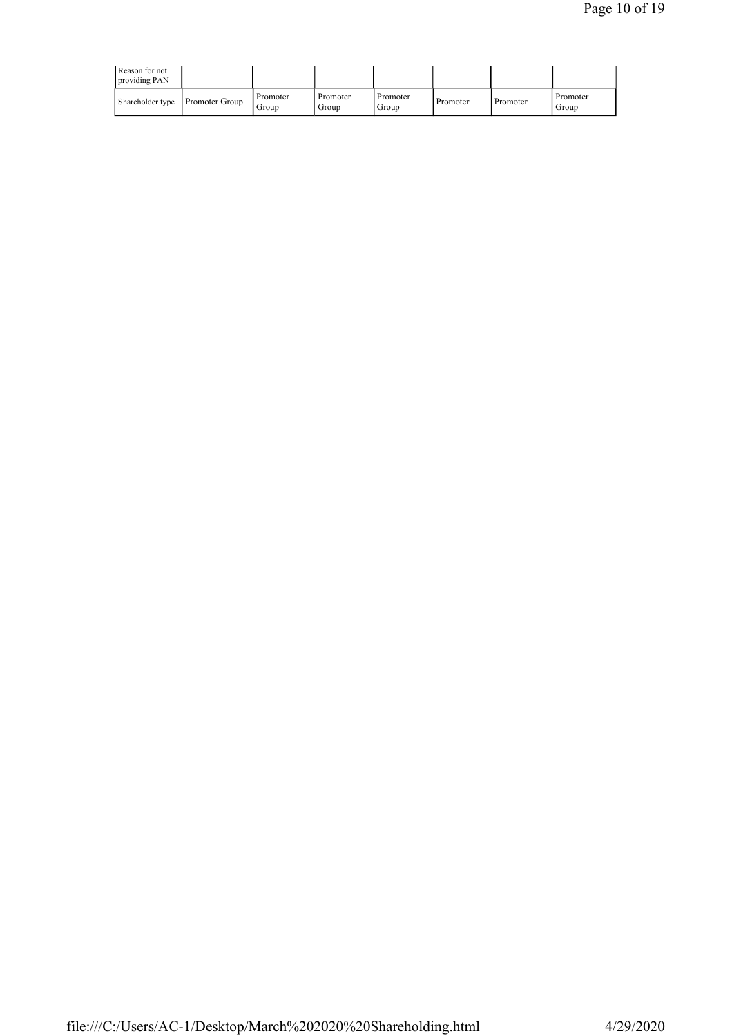| Reason for not<br>providing PAN |                   |                   |                   |          |          |                   |
|---------------------------------|-------------------|-------------------|-------------------|----------|----------|-------------------|
| Shareholder type Promoter Group | Promoter<br>Group | Promoter<br>Group | Promoter<br>Group | Promoter | Promoter | Promoter<br>Group |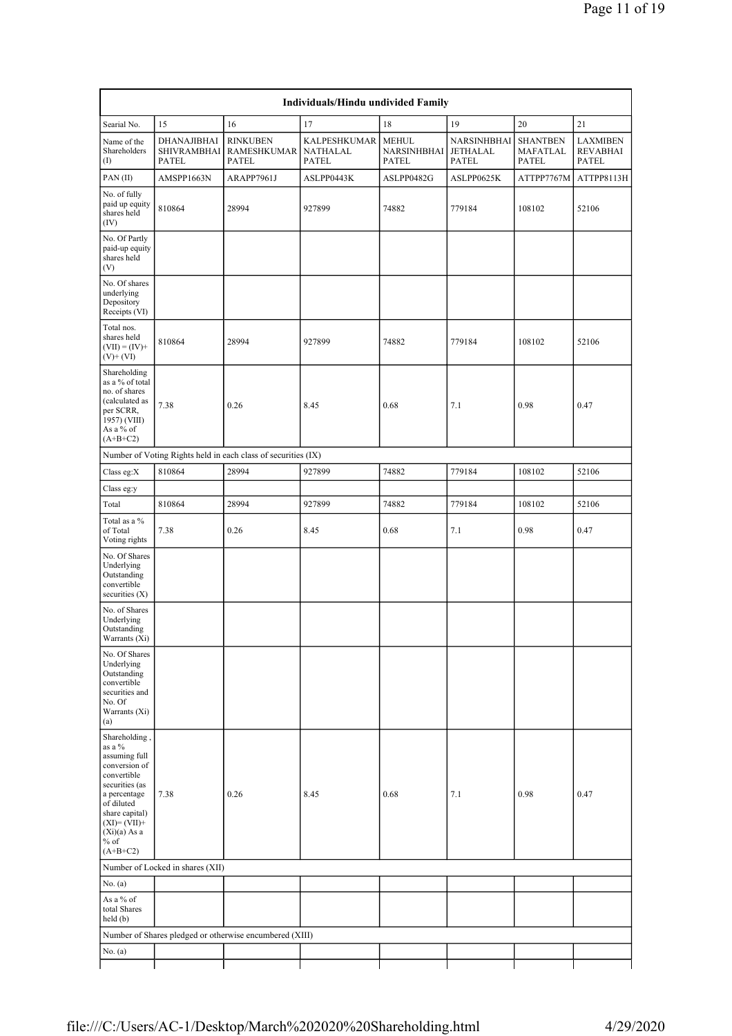| Individuals/Hindu undivided Family                                                                                                                                                                    |                                            |                                                               |                                                 |                                             |                                  |                                             |                                             |  |  |  |  |  |
|-------------------------------------------------------------------------------------------------------------------------------------------------------------------------------------------------------|--------------------------------------------|---------------------------------------------------------------|-------------------------------------------------|---------------------------------------------|----------------------------------|---------------------------------------------|---------------------------------------------|--|--|--|--|--|
| Searial No.                                                                                                                                                                                           | 15                                         | 16                                                            | 17                                              | 18                                          | 19                               | 20                                          | 21                                          |  |  |  |  |  |
| Name of the<br>Shareholders<br>$($ I                                                                                                                                                                  | DHANAJIBHAI<br><b>SHIVRAMBHAI</b><br>PATEL | <b>RINKUBEN</b><br>RAMESHKUMAR<br><b>PATEL</b>                | <b>KALPESHKUMAR</b><br>NATHALAL<br><b>PATEL</b> | <b>MEHUL</b><br><b>NARSINHBHAI</b><br>PATEL | NARSINHBHAI<br>JETHALAL<br>PATEL | <b>SHANTBEN</b><br>MAFATLAL<br><b>PATEL</b> | <b>LAXMIBEN</b><br><b>REVABHAI</b><br>PATEL |  |  |  |  |  |
| PAN(II)                                                                                                                                                                                               | AMSPP1663N                                 | ARAPP7961J                                                    | ASLPP0443K                                      | ASLPP0482G                                  | ASLPP0625K                       | ATTPP7767M                                  | ATTPP8113H                                  |  |  |  |  |  |
| No. of fully<br>paid up equity<br>shares held<br>(IV)                                                                                                                                                 | 810864                                     | 28994                                                         | 927899                                          | 74882                                       | 779184                           | 108102                                      | 52106                                       |  |  |  |  |  |
| No. Of Partly<br>paid-up equity<br>shares held<br>(V)                                                                                                                                                 |                                            |                                                               |                                                 |                                             |                                  |                                             |                                             |  |  |  |  |  |
| No. Of shares<br>underlying<br>Depository<br>Receipts (VI)                                                                                                                                            |                                            |                                                               |                                                 |                                             |                                  |                                             |                                             |  |  |  |  |  |
| Total nos.<br>shares held<br>$(VII) = (IV) +$<br>$(V)+(VI)$                                                                                                                                           | 810864                                     | 28994                                                         | 927899                                          | 74882                                       | 779184                           | 108102                                      | 52106                                       |  |  |  |  |  |
| Shareholding<br>as a % of total<br>no. of shares<br>(calculated as<br>per SCRR,<br>1957) (VIII)<br>As a % of<br>$(A+B+C2)$                                                                            | 7.38                                       | 0.26                                                          | 8.45                                            | 0.68                                        | 7.1                              | 0.98                                        | 0.47                                        |  |  |  |  |  |
|                                                                                                                                                                                                       |                                            | Number of Voting Rights held in each class of securities (IX) |                                                 |                                             |                                  |                                             |                                             |  |  |  |  |  |
| Class eg:X                                                                                                                                                                                            | 810864                                     | 28994                                                         | 927899                                          | 74882                                       | 779184                           | 108102                                      | 52106                                       |  |  |  |  |  |
| Class eg:y                                                                                                                                                                                            |                                            |                                                               |                                                 |                                             |                                  |                                             |                                             |  |  |  |  |  |
| Total                                                                                                                                                                                                 | 810864                                     | 28994                                                         | 927899                                          | 74882                                       | 779184                           | 108102                                      | 52106                                       |  |  |  |  |  |
| Total as a %<br>of Total<br>Voting rights                                                                                                                                                             | 7.38                                       | 0.26                                                          | 8.45                                            | 0.68                                        | 7.1                              | 0.98                                        | 0.47                                        |  |  |  |  |  |
| No. Of Shares<br>Underlying<br>Outstanding<br>convertible<br>securities $(X)$                                                                                                                         |                                            |                                                               |                                                 |                                             |                                  |                                             |                                             |  |  |  |  |  |
| No. of Shares<br>Underlying<br>Outstanding<br>Warrants (Xi)                                                                                                                                           |                                            |                                                               |                                                 |                                             |                                  |                                             |                                             |  |  |  |  |  |
| No. Of Shares<br>Underlying<br>Outstanding<br>convertible<br>securities and<br>No. Of<br>Warrants (Xi)<br>(a)                                                                                         |                                            |                                                               |                                                 |                                             |                                  |                                             |                                             |  |  |  |  |  |
| Shareholding,<br>as a %<br>assuming full<br>conversion of<br>convertible<br>securities (as<br>a percentage<br>of diluted<br>share capital)<br>$(XI)=(VII)+$<br>$(Xi)(a)$ As a<br>$%$ of<br>$(A+B+C2)$ | 7.38                                       | 0.26                                                          | 8.45                                            | 0.68                                        | 7.1                              | 0.98                                        | 0.47                                        |  |  |  |  |  |
|                                                                                                                                                                                                       | Number of Locked in shares (XII)           |                                                               |                                                 |                                             |                                  |                                             |                                             |  |  |  |  |  |
| No. (a)                                                                                                                                                                                               |                                            |                                                               |                                                 |                                             |                                  |                                             |                                             |  |  |  |  |  |
| As a % of<br>total Shares<br>held(b)                                                                                                                                                                  |                                            |                                                               |                                                 |                                             |                                  |                                             |                                             |  |  |  |  |  |
|                                                                                                                                                                                                       |                                            | Number of Shares pledged or otherwise encumbered (XIII)       |                                                 |                                             |                                  |                                             |                                             |  |  |  |  |  |
| No. (a)                                                                                                                                                                                               |                                            |                                                               |                                                 |                                             |                                  |                                             |                                             |  |  |  |  |  |
|                                                                                                                                                                                                       |                                            |                                                               |                                                 |                                             |                                  |                                             |                                             |  |  |  |  |  |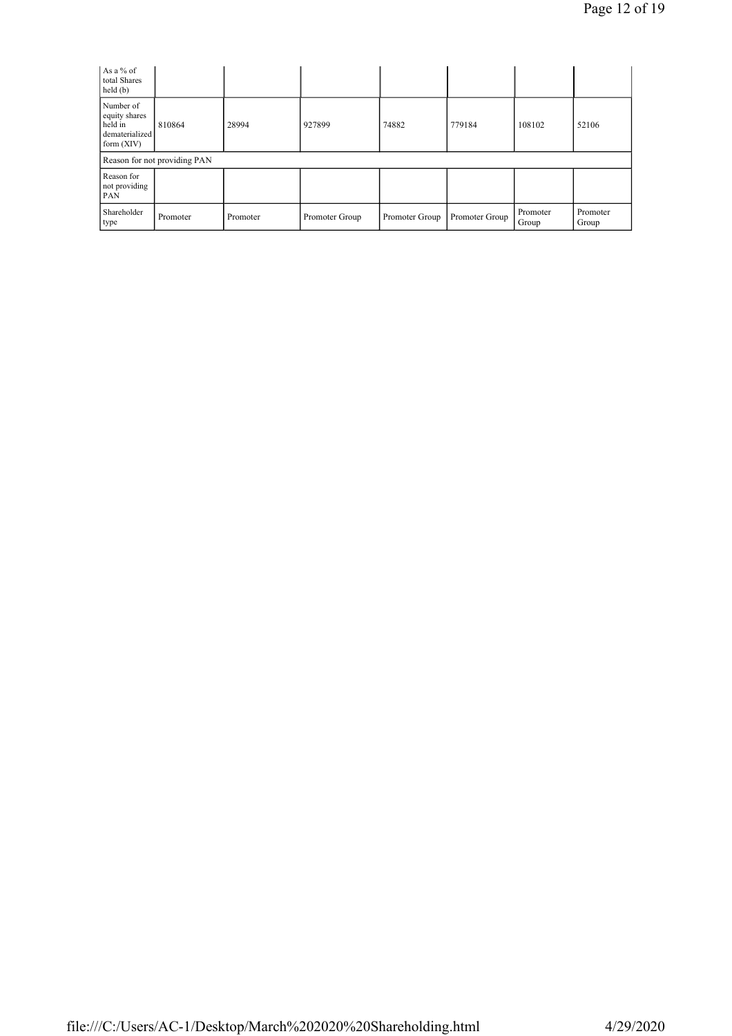| As a % of<br>total Shares<br>held(b)                                    |                              |          |                |                |                |                   |                   |
|-------------------------------------------------------------------------|------------------------------|----------|----------------|----------------|----------------|-------------------|-------------------|
| Number of<br>equity shares<br>held in<br>dematerialized<br>form $(XIV)$ | 810864                       | 28994    | 927899         | 74882          | 779184         | 108102            | 52106             |
|                                                                         | Reason for not providing PAN |          |                |                |                |                   |                   |
| Reason for<br>not providing<br>PAN                                      |                              |          |                |                |                |                   |                   |
| Shareholder<br>type                                                     | Promoter                     | Promoter | Promoter Group | Promoter Group | Promoter Group | Promoter<br>Group | Promoter<br>Group |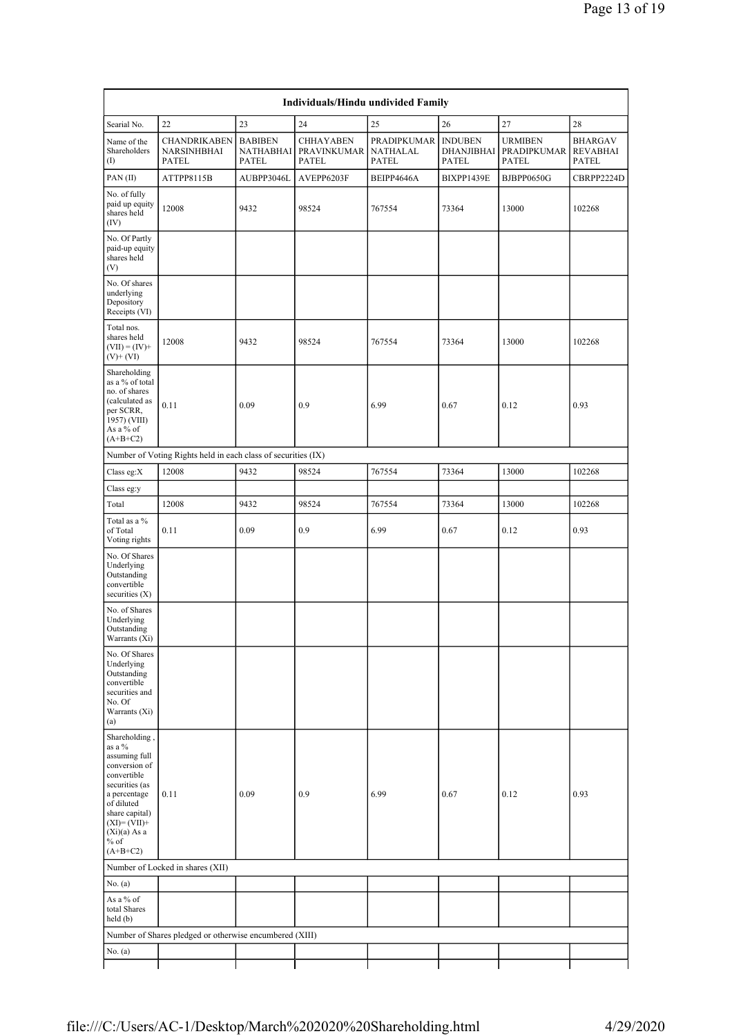| Individuals/Hindu undivided Family                                                                                                                                                                    |                                                               |                                             |                                          |                                         |                                       |                                        |                                     |  |  |  |
|-------------------------------------------------------------------------------------------------------------------------------------------------------------------------------------------------------|---------------------------------------------------------------|---------------------------------------------|------------------------------------------|-----------------------------------------|---------------------------------------|----------------------------------------|-------------------------------------|--|--|--|
| 22<br>23<br>24<br>25<br>26<br>27<br>28<br>Searial No.                                                                                                                                                 |                                                               |                                             |                                          |                                         |                                       |                                        |                                     |  |  |  |
| Name of the<br>Shareholders<br>$\rm (I)$                                                                                                                                                              | <b>CHANDRIKABEN</b><br>NARSINHBHAI<br>PATEL                   | <b>BABIBEN</b><br>NATHABHAI<br><b>PATEL</b> | <b>CHHAYABEN</b><br>PRAVINKUMAR<br>PATEL | PRADIPKUMAR<br>NATHALAL<br><b>PATEL</b> | <b>INDUBEN</b><br>DHANJIBHAI<br>PATEL | <b>URMIBEN</b><br>PRADIPKUMAR<br>PATEL | BHARGAV<br><b>REVABHAI</b><br>PATEL |  |  |  |
| PAN(II)                                                                                                                                                                                               | ATTPP8115B                                                    | AUBPP3046L                                  | AVEPP6203F                               | BEIPP4646A                              | BIXPP1439E                            | BJBPP0650G                             | CBRPP2224D                          |  |  |  |
| No. of fully<br>paid up equity<br>shares held<br>(IV)                                                                                                                                                 | 12008                                                         | 9432                                        | 98524                                    | 767554                                  | 73364                                 | 13000                                  | 102268                              |  |  |  |
| No. Of Partly<br>paid-up equity<br>shares held<br>(V)                                                                                                                                                 |                                                               |                                             |                                          |                                         |                                       |                                        |                                     |  |  |  |
| No. Of shares<br>underlying<br>Depository<br>Receipts (VI)                                                                                                                                            |                                                               |                                             |                                          |                                         |                                       |                                        |                                     |  |  |  |
| Total nos.<br>shares held<br>$(VII) = (IV) +$<br>$(V)$ + $(VI)$                                                                                                                                       | 12008                                                         | 9432                                        | 98524                                    | 767554                                  | 73364                                 | 13000                                  | 102268                              |  |  |  |
| Shareholding<br>as a % of total<br>no. of shares<br>(calculated as<br>per SCRR,<br>1957) (VIII)<br>As a % of<br>$(A+B+C2)$                                                                            | 0.11                                                          | 0.09                                        | 0.9                                      | 6.99                                    | 0.67                                  | 0.12                                   | 0.93                                |  |  |  |
|                                                                                                                                                                                                       | Number of Voting Rights held in each class of securities (IX) |                                             |                                          |                                         |                                       |                                        |                                     |  |  |  |
| Class eg:X                                                                                                                                                                                            | 12008                                                         | 9432                                        | 98524                                    | 767554                                  | 73364                                 | 13000                                  | 102268                              |  |  |  |
| Class eg:y                                                                                                                                                                                            |                                                               |                                             |                                          |                                         |                                       |                                        |                                     |  |  |  |
| Total                                                                                                                                                                                                 | 12008                                                         | 9432                                        | 98524                                    | 767554                                  | 73364                                 | 13000                                  | 102268                              |  |  |  |
| Total as a %<br>of Total<br>Voting rights                                                                                                                                                             | 0.11                                                          | 0.09                                        | 0.9                                      | 6.99                                    | 0.67                                  | 0.12                                   | 0.93                                |  |  |  |
| No. Of Shares<br>Underlying<br>Outstanding<br>convertible<br>securities $(X)$                                                                                                                         |                                                               |                                             |                                          |                                         |                                       |                                        |                                     |  |  |  |
| No. of Shares<br>Underlying<br>Outstanding<br>Warrants (Xi)                                                                                                                                           |                                                               |                                             |                                          |                                         |                                       |                                        |                                     |  |  |  |
| No. Of Shares<br>Underlying<br>Outstanding<br>convertible<br>securities and<br>No. Of<br>Warrants (Xi)<br>(a)                                                                                         |                                                               |                                             |                                          |                                         |                                       |                                        |                                     |  |  |  |
| Shareholding,<br>as a %<br>assuming full<br>conversion of<br>convertible<br>securities (as<br>a percentage<br>of diluted<br>share capital)<br>$(XI)=(VII)+$<br>$(Xi)(a)$ As a<br>$%$ of<br>$(A+B+C2)$ | 0.11                                                          | 0.09                                        | 0.9                                      | 6.99                                    | 0.67                                  | 0.12                                   | 0.93                                |  |  |  |
|                                                                                                                                                                                                       | Number of Locked in shares (XII)                              |                                             |                                          |                                         |                                       |                                        |                                     |  |  |  |
| No. (a)                                                                                                                                                                                               |                                                               |                                             |                                          |                                         |                                       |                                        |                                     |  |  |  |
| As a % of<br>total Shares<br>held(b)                                                                                                                                                                  |                                                               |                                             |                                          |                                         |                                       |                                        |                                     |  |  |  |
|                                                                                                                                                                                                       | Number of Shares pledged or otherwise encumbered (XIII)       |                                             |                                          |                                         |                                       |                                        |                                     |  |  |  |
| No. $(a)$                                                                                                                                                                                             |                                                               |                                             |                                          |                                         |                                       |                                        |                                     |  |  |  |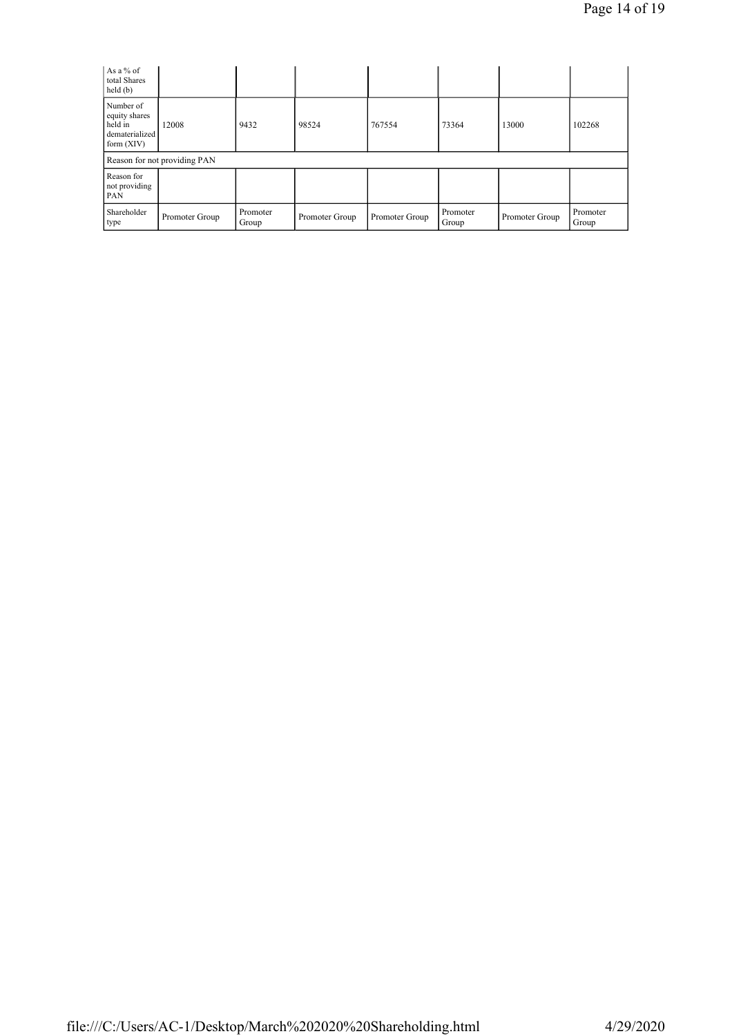| As a % of<br>total Shares<br>held(b)                                    |                              |                   |                |                |                   |                |                   |
|-------------------------------------------------------------------------|------------------------------|-------------------|----------------|----------------|-------------------|----------------|-------------------|
| Number of<br>equity shares<br>held in<br>dematerialized<br>form $(XIV)$ | 12008                        | 9432              | 98524          | 767554         | 73364             | 13000          | 102268            |
|                                                                         | Reason for not providing PAN |                   |                |                |                   |                |                   |
| Reason for<br>not providing<br>PAN                                      |                              |                   |                |                |                   |                |                   |
| Shareholder<br>type                                                     | Promoter Group               | Promoter<br>Group | Promoter Group | Promoter Group | Promoter<br>Group | Promoter Group | Promoter<br>Group |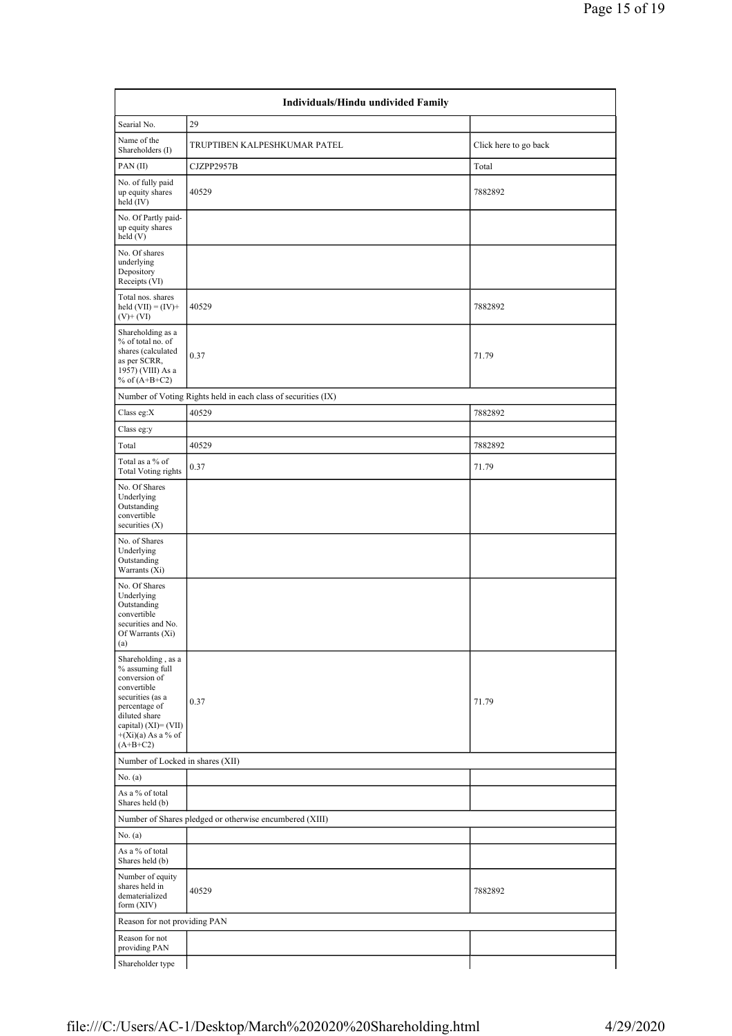| Individuals/Hindu undivided Family                                                                                                                                                        |                                                               |                       |  |  |  |  |  |  |  |
|-------------------------------------------------------------------------------------------------------------------------------------------------------------------------------------------|---------------------------------------------------------------|-----------------------|--|--|--|--|--|--|--|
| Searial No.                                                                                                                                                                               | 29                                                            |                       |  |  |  |  |  |  |  |
| Name of the<br>Shareholders (I)                                                                                                                                                           | TRUPTIBEN KALPESHKUMAR PATEL                                  | Click here to go back |  |  |  |  |  |  |  |
| PAN(II)                                                                                                                                                                                   | CJZPP2957B                                                    | Total                 |  |  |  |  |  |  |  |
| No. of fully paid<br>up equity shares<br>held (IV)                                                                                                                                        | 40529                                                         | 7882892               |  |  |  |  |  |  |  |
| No. Of Partly paid-<br>up equity shares<br>held (V)                                                                                                                                       |                                                               |                       |  |  |  |  |  |  |  |
| No. Of shares<br>underlying<br>Depository<br>Receipts (VI)                                                                                                                                |                                                               |                       |  |  |  |  |  |  |  |
| Total nos. shares<br>held $(VII) = (IV) +$<br>$(V)$ + $(VI)$                                                                                                                              | 40529                                                         | 7882892               |  |  |  |  |  |  |  |
| Shareholding as a<br>% of total no. of<br>shares (calculated<br>as per SCRR,<br>1957) (VIII) As a<br>% of $(A+B+C2)$                                                                      | 0.37                                                          | 71.79                 |  |  |  |  |  |  |  |
|                                                                                                                                                                                           | Number of Voting Rights held in each class of securities (IX) |                       |  |  |  |  |  |  |  |
| Class eg:X                                                                                                                                                                                | 40529                                                         | 7882892               |  |  |  |  |  |  |  |
| Class eg:y                                                                                                                                                                                |                                                               |                       |  |  |  |  |  |  |  |
| Total                                                                                                                                                                                     | 40529                                                         | 7882892               |  |  |  |  |  |  |  |
| Total as a % of<br><b>Total Voting rights</b>                                                                                                                                             | 0.37                                                          | 71.79                 |  |  |  |  |  |  |  |
| No. Of Shares<br>Underlying<br>Outstanding<br>convertible<br>securities (X)                                                                                                               |                                                               |                       |  |  |  |  |  |  |  |
| No. of Shares<br>Underlying<br>Outstanding<br>Warrants (Xi)                                                                                                                               |                                                               |                       |  |  |  |  |  |  |  |
| No. Of Shares<br>Underlying<br>Outstanding<br>convertible<br>securities and No.<br>Of Warrants (Xi)<br>(a)                                                                                |                                                               |                       |  |  |  |  |  |  |  |
| Shareholding, as a<br>% assuming full<br>conversion of<br>convertible<br>securities (as a<br>percentage of<br>diluted share<br>capital) (XI)= (VII)<br>$+(Xi)(a)$ As a % of<br>$(A+B+C2)$ | 0.37                                                          | 71.79                 |  |  |  |  |  |  |  |
| Number of Locked in shares (XII)                                                                                                                                                          |                                                               |                       |  |  |  |  |  |  |  |
| No. (a)                                                                                                                                                                                   |                                                               |                       |  |  |  |  |  |  |  |
| As a % of total<br>Shares held (b)                                                                                                                                                        |                                                               |                       |  |  |  |  |  |  |  |
|                                                                                                                                                                                           | Number of Shares pledged or otherwise encumbered (XIII)       |                       |  |  |  |  |  |  |  |
| No. (a)                                                                                                                                                                                   |                                                               |                       |  |  |  |  |  |  |  |
| As a % of total<br>Shares held (b)                                                                                                                                                        |                                                               |                       |  |  |  |  |  |  |  |
| Number of equity<br>shares held in<br>dematerialized<br>form (XIV)                                                                                                                        | 40529                                                         | 7882892               |  |  |  |  |  |  |  |
| Reason for not providing PAN                                                                                                                                                              |                                                               |                       |  |  |  |  |  |  |  |
| Reason for not<br>providing PAN                                                                                                                                                           |                                                               |                       |  |  |  |  |  |  |  |
| Shareholder type                                                                                                                                                                          |                                                               |                       |  |  |  |  |  |  |  |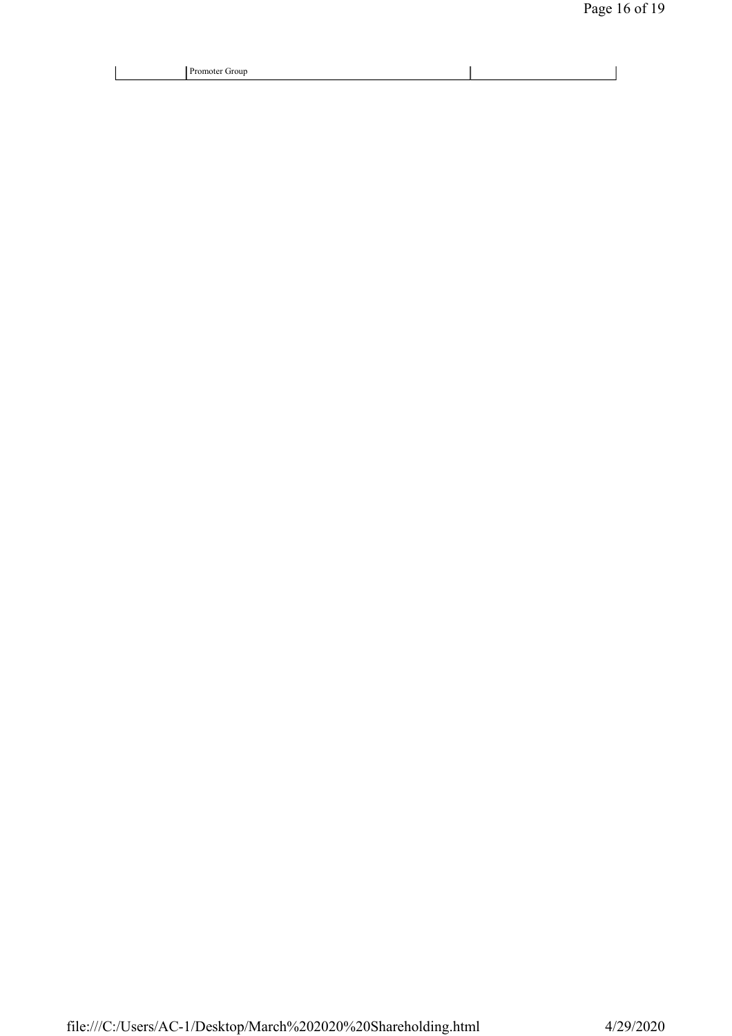| <b>Trour</b><br>.omoter |  |
|-------------------------|--|
| . .<br>$\sim$<br>__     |  |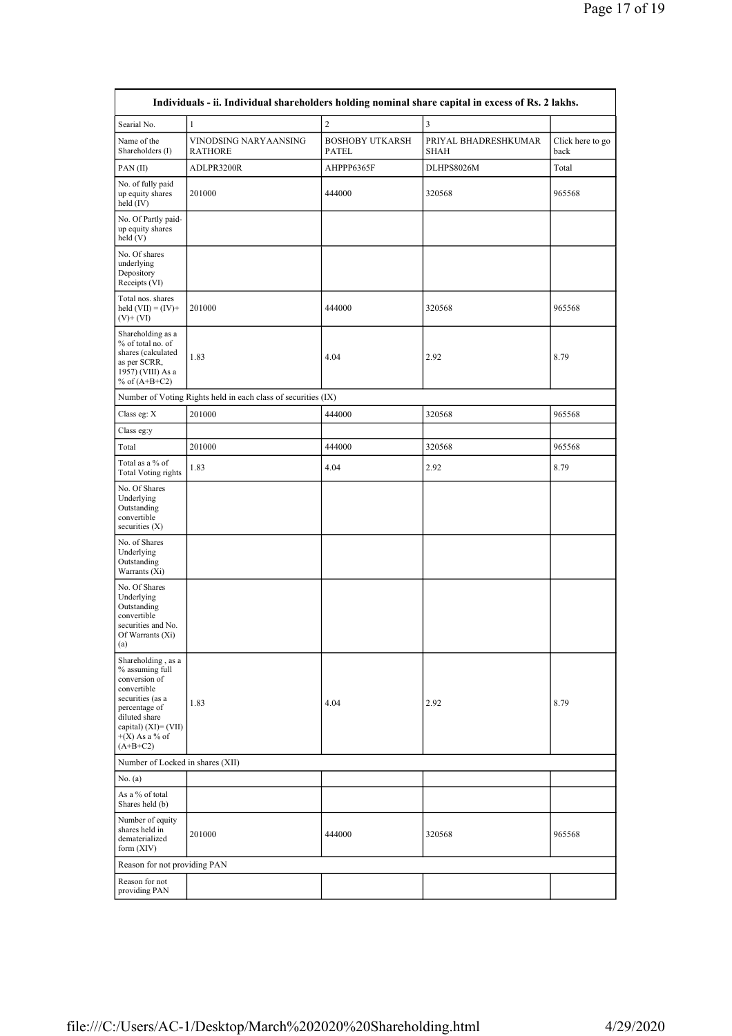| Individuals - ii. Individual shareholders holding nominal share capital in excess of Rs. 2 lakhs.                                                                                        |                                                               |                                        |                              |                          |  |  |  |  |  |
|------------------------------------------------------------------------------------------------------------------------------------------------------------------------------------------|---------------------------------------------------------------|----------------------------------------|------------------------------|--------------------------|--|--|--|--|--|
| Searial No.                                                                                                                                                                              | $\mathbf{1}$                                                  | $\boldsymbol{2}$                       | 3                            |                          |  |  |  |  |  |
| Name of the<br>Shareholders (I)                                                                                                                                                          | VINODSING NARYAANSING<br><b>RATHORE</b>                       | <b>BOSHOBY UTKARSH</b><br><b>PATEL</b> | PRIYAL BHADRESHKUMAR<br>SHAH | Click here to go<br>back |  |  |  |  |  |
| PAN(II)                                                                                                                                                                                  | ADLPR3200R                                                    | AHPPP6365F                             | DLHPS8026M                   | Total                    |  |  |  |  |  |
| No. of fully paid<br>up equity shares<br>held (IV)                                                                                                                                       | 201000                                                        | 444000                                 | 320568                       | 965568                   |  |  |  |  |  |
| No. Of Partly paid-<br>up equity shares<br>held (V)                                                                                                                                      |                                                               |                                        |                              |                          |  |  |  |  |  |
| No. Of shares<br>underlying<br>Depository<br>Receipts (VI)                                                                                                                               |                                                               |                                        |                              |                          |  |  |  |  |  |
| Total nos. shares<br>held $(VII) = (IV) +$<br>$(V)$ + $(VI)$                                                                                                                             | 201000                                                        | 444000                                 | 320568                       | 965568                   |  |  |  |  |  |
| Shareholding as a<br>% of total no. of<br>shares (calculated<br>as per SCRR,<br>1957) (VIII) As a<br>% of $(A+B+C2)$                                                                     | 1.83                                                          | 4.04                                   | 2.92                         | 8.79                     |  |  |  |  |  |
|                                                                                                                                                                                          | Number of Voting Rights held in each class of securities (IX) |                                        |                              |                          |  |  |  |  |  |
| Class eg: X                                                                                                                                                                              | 201000                                                        | 444000                                 | 320568                       | 965568                   |  |  |  |  |  |
| Class eg:y                                                                                                                                                                               |                                                               |                                        |                              |                          |  |  |  |  |  |
| Total                                                                                                                                                                                    | 201000                                                        | 444000                                 | 320568                       | 965568                   |  |  |  |  |  |
| Total as a % of<br><b>Total Voting rights</b>                                                                                                                                            | 1.83                                                          | 4.04                                   | 2.92                         | 8.79                     |  |  |  |  |  |
| No. Of Shares<br>Underlying<br>Outstanding<br>convertible<br>securities $(X)$                                                                                                            |                                                               |                                        |                              |                          |  |  |  |  |  |
| No. of Shares<br>Underlying<br>Outstanding<br>Warrants (Xi)                                                                                                                              |                                                               |                                        |                              |                          |  |  |  |  |  |
| No. Of Shares<br>Underlying<br>Outstanding<br>convertible<br>securities and No.<br>Of Warrants (Xi)<br>(a)                                                                               |                                                               |                                        |                              |                          |  |  |  |  |  |
| Shareholding, as a<br>% assuming full<br>conversion of<br>convertible<br>securities (as a<br>percentage of<br>diluted share<br>capital) $(XI) = (VII)$<br>$+(X)$ As a % of<br>$(A+B+C2)$ | 1.83                                                          | 4.04                                   | 2.92                         | 8.79                     |  |  |  |  |  |
| Number of Locked in shares (XII)                                                                                                                                                         |                                                               |                                        |                              |                          |  |  |  |  |  |
| No. (a)                                                                                                                                                                                  |                                                               |                                        |                              |                          |  |  |  |  |  |
| As a % of total<br>Shares held (b)                                                                                                                                                       |                                                               |                                        |                              |                          |  |  |  |  |  |
| Number of equity<br>shares held in<br>dematerialized<br>form (XIV)                                                                                                                       | 201000                                                        | 444000                                 | 320568                       | 965568                   |  |  |  |  |  |
| Reason for not providing PAN                                                                                                                                                             |                                                               |                                        |                              |                          |  |  |  |  |  |
| Reason for not<br>providing PAN                                                                                                                                                          |                                                               |                                        |                              |                          |  |  |  |  |  |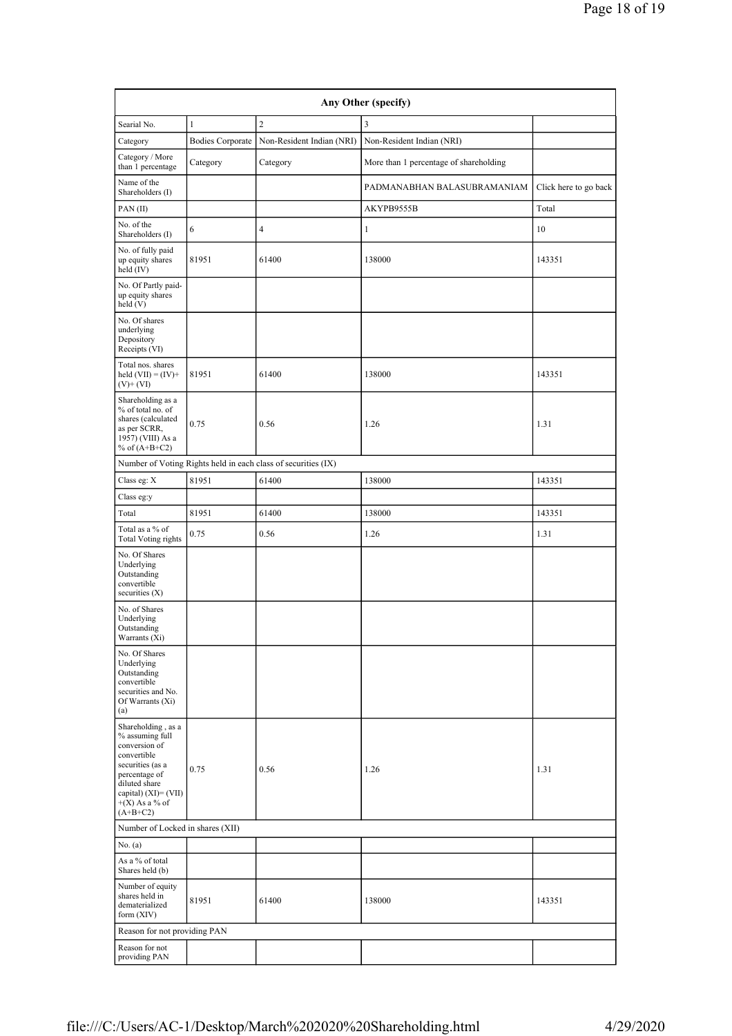| Any Other (specify)                                                                                                                                                                      |                         |                                                               |                                        |                       |  |  |  |  |  |  |
|------------------------------------------------------------------------------------------------------------------------------------------------------------------------------------------|-------------------------|---------------------------------------------------------------|----------------------------------------|-----------------------|--|--|--|--|--|--|
| Searial No.                                                                                                                                                                              | $\mathbf{1}$            | $\overline{2}$                                                | 3                                      |                       |  |  |  |  |  |  |
| Category                                                                                                                                                                                 | <b>Bodies Corporate</b> | Non-Resident Indian (NRI)                                     | Non-Resident Indian (NRI)              |                       |  |  |  |  |  |  |
| Category / More<br>than 1 percentage                                                                                                                                                     | Category                | Category                                                      | More than 1 percentage of shareholding |                       |  |  |  |  |  |  |
| Name of the<br>Shareholders (I)                                                                                                                                                          |                         |                                                               | PADMANABHAN BALASUBRAMANIAM            | Click here to go back |  |  |  |  |  |  |
| PAN(II)                                                                                                                                                                                  |                         |                                                               | AKYPB9555B                             | Total                 |  |  |  |  |  |  |
| No. of the<br>Shareholders (I)                                                                                                                                                           | 6                       | $\overline{4}$                                                | 1                                      | 10                    |  |  |  |  |  |  |
| No. of fully paid<br>up equity shares<br>$held$ (IV)                                                                                                                                     | 81951                   | 61400                                                         | 138000                                 | 143351                |  |  |  |  |  |  |
| No. Of Partly paid-<br>up equity shares<br>held(V)                                                                                                                                       |                         |                                                               |                                        |                       |  |  |  |  |  |  |
| No. Of shares<br>underlying<br>Depository<br>Receipts (VI)                                                                                                                               |                         |                                                               |                                        |                       |  |  |  |  |  |  |
| Total nos. shares<br>held $(VII) = (IV) +$<br>$(V)$ + $(VI)$                                                                                                                             | 81951                   | 61400                                                         | 138000                                 | 143351                |  |  |  |  |  |  |
| Shareholding as a<br>% of total no. of<br>shares (calculated<br>as per SCRR,<br>1957) (VIII) As a<br>% of $(A+B+C2)$                                                                     | 0.75                    | 0.56                                                          | 1.26                                   | 1.31                  |  |  |  |  |  |  |
|                                                                                                                                                                                          |                         | Number of Voting Rights held in each class of securities (IX) |                                        |                       |  |  |  |  |  |  |
| Class eg: X                                                                                                                                                                              | 81951                   | 61400                                                         | 138000                                 | 143351                |  |  |  |  |  |  |
| Class eg:y                                                                                                                                                                               |                         |                                                               |                                        |                       |  |  |  |  |  |  |
| Total                                                                                                                                                                                    | 81951                   | 61400                                                         | 138000                                 | 143351                |  |  |  |  |  |  |
| Total as a % of<br><b>Total Voting rights</b>                                                                                                                                            | 0.75                    | 0.56                                                          | 1.26                                   | 1.31                  |  |  |  |  |  |  |
| No. Of Shares<br>Underlying<br>Outstanding<br>convertible<br>securities $(X)$                                                                                                            |                         |                                                               |                                        |                       |  |  |  |  |  |  |
| No. of Shares<br>Underlying<br>Outstanding<br>Warrants (Xi)                                                                                                                              |                         |                                                               |                                        |                       |  |  |  |  |  |  |
| No. Of Shares<br>Underlying<br>Outstanding<br>convertible<br>securities and No.<br>Of Warrants (Xi)<br>(a)                                                                               |                         |                                                               |                                        |                       |  |  |  |  |  |  |
| Shareholding, as a<br>% assuming full<br>conversion of<br>convertible<br>securities (as a<br>percentage of<br>diluted share<br>capital) $(XI) = (VII)$<br>$+(X)$ As a % of<br>$(A+B+C2)$ | 0.75                    | 0.56                                                          | 1.26                                   | 1.31                  |  |  |  |  |  |  |
| Number of Locked in shares (XII)                                                                                                                                                         |                         |                                                               |                                        |                       |  |  |  |  |  |  |
| No. (a)                                                                                                                                                                                  |                         |                                                               |                                        |                       |  |  |  |  |  |  |
| As a % of total<br>Shares held (b)                                                                                                                                                       |                         |                                                               |                                        |                       |  |  |  |  |  |  |
| Number of equity<br>shares held in<br>dematerialized<br>form (XIV)                                                                                                                       | 81951                   | 61400                                                         | 138000                                 | 143351                |  |  |  |  |  |  |
| Reason for not providing PAN                                                                                                                                                             |                         |                                                               |                                        |                       |  |  |  |  |  |  |
| Reason for not<br>providing PAN                                                                                                                                                          |                         |                                                               |                                        |                       |  |  |  |  |  |  |